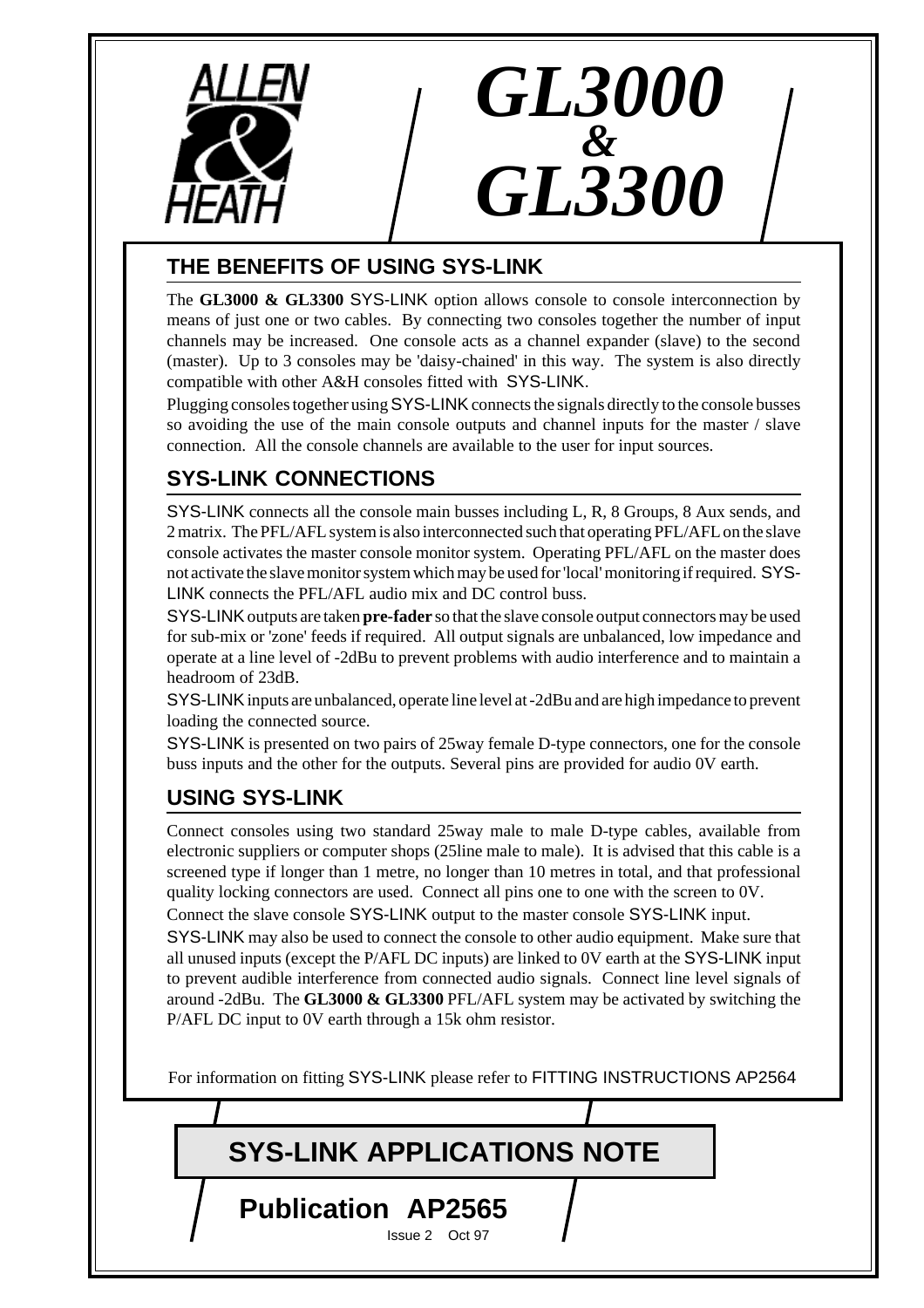

## **THE BENEFITS OF USING SYS-LINK**

The **GL3000 & GL3300** SYS-LINK option allows console to console interconnection by means of just one or two cables. By connecting two consoles together the number of input channels may be increased. One console acts as a channel expander (slave) to the second (master). Up to 3 consoles may be 'daisy-chained' in this way. The system is also directly compatible with other A&H consoles fitted with SYS-LINK.

*GL3000*

*&*

*GL3300*

Plugging consoles together using SYS-LINK connects the signals directly to the console busses so avoiding the use of the main console outputs and channel inputs for the master / slave connection. All the console channels are available to the user for input sources.

## **SYS-LINK CONNECTIONS**

SYS-LINK connects all the console main busses including L, R, 8 Groups, 8 Aux sends, and 2 matrix. The PFL/AFL system is also interconnected such that operating PFL/AFL on the slave console activates the master console monitor system. Operating PFL/AFL on the master does not activate the slave monitor system which may be used for 'local' monitoring if required. SYS-LINK connects the PFL/AFL audio mix and DC control buss.

SYS-LINK outputs are taken **pre-fader** so that the slave console output connectors may be used for sub-mix or 'zone' feeds if required. All output signals are unbalanced, low impedance and operate at a line level of -2dBu to prevent problems with audio interference and to maintain a headroom of 23dB.

SYS-LINK inputs are unbalanced, operate line level at -2dBu and are high impedance to prevent loading the connected source.

SYS-LINK is presented on two pairs of 25way female D-type connectors, one for the console buss inputs and the other for the outputs. Several pins are provided for audio 0V earth.

## **USING SYS-LINK**

Connect consoles using two standard 25way male to male D-type cables, available from electronic suppliers or computer shops (25line male to male). It is advised that this cable is a screened type if longer than 1 metre, no longer than 10 metres in total, and that professional quality locking connectors are used. Connect all pins one to one with the screen to 0V. Connect the slave console SYS-LINK output to the master console SYS-LINK input.

SYS-LINK may also be used to connect the console to other audio equipment. Make sure that all unused inputs (except the P/AFL DC inputs) are linked to 0V earth at the SYS-LINK input to prevent audible interference from connected audio signals. Connect line level signals of around -2dBu. The **GL3000 & GL3300** PFL/AFL system may be activated by switching the P/AFL DC input to 0V earth through a 15k ohm resistor.

For information on fitting SYS-LINK please refer to FITTING INSTRUCTIONS AP2564